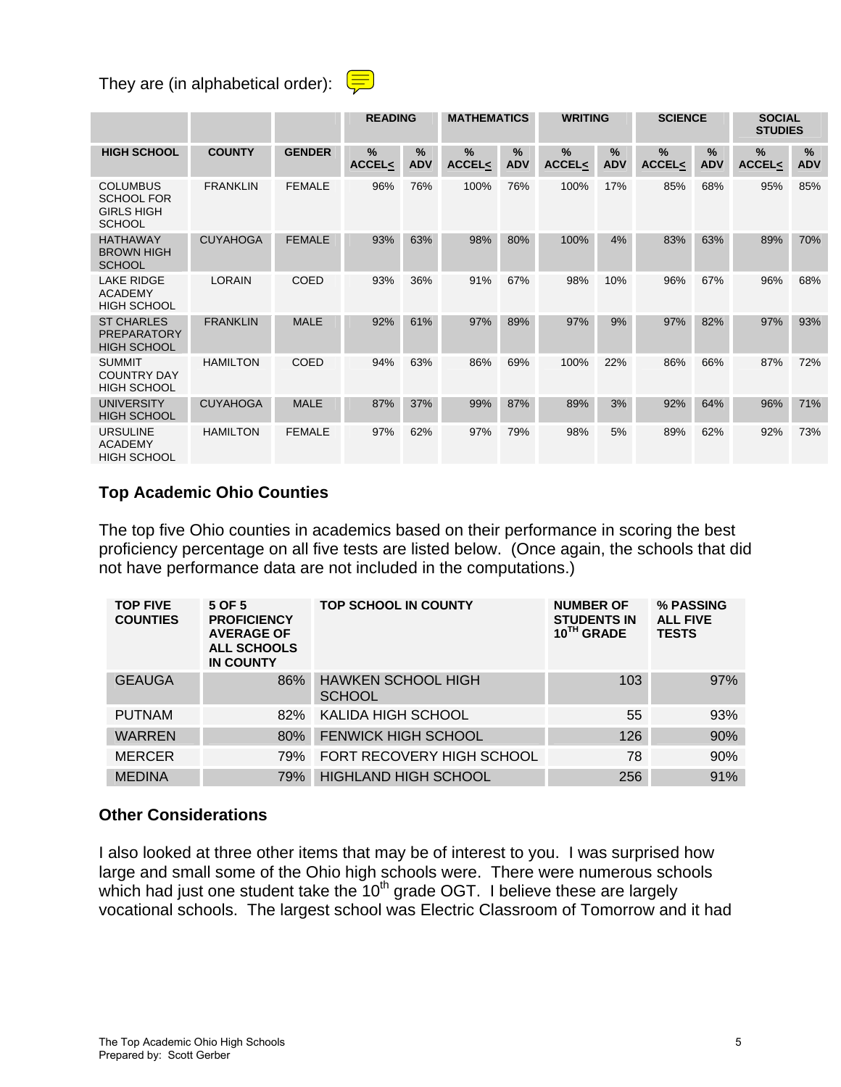# They are (in alphabetical order):  $\left(\frac{1}{\sqrt{2}}\right)$

|                                                                            |                 |               | <b>READING</b>                    |                             | <b>MATHEMATICS</b>    |                 | <b>WRITING</b>        |                 | <b>SCIENCE</b>        |                    | <b>SOCIAL</b><br><b>STUDIES</b> |                 |
|----------------------------------------------------------------------------|-----------------|---------------|-----------------------------------|-----------------------------|-----------------------|-----------------|-----------------------|-----------------|-----------------------|--------------------|---------------------------------|-----------------|
| <b>HIGH SCHOOL</b>                                                         | <b>COUNTY</b>   | <b>GENDER</b> | $\frac{0}{2}$<br><b>ACCEL&lt;</b> | $\frac{0}{2}$<br><b>ADV</b> | %<br><b>ACCEL&lt;</b> | %<br><b>ADV</b> | %<br><b>ACCEL&lt;</b> | %<br><b>ADV</b> | %<br><b>ACCEL&lt;</b> | $\%$<br><b>ADV</b> | $\%$<br><b>ACCEL&lt;</b>        | %<br><b>ADV</b> |
| <b>COLUMBUS</b><br><b>SCHOOL FOR</b><br><b>GIRLS HIGH</b><br><b>SCHOOL</b> | <b>FRANKLIN</b> | <b>FEMALE</b> | 96%                               | 76%                         | 100%                  | 76%             | 100%                  | 17%             | 85%                   | 68%                | 95%                             | 85%             |
| <b>HATHAWAY</b><br><b>BROWN HIGH</b><br><b>SCHOOL</b>                      | <b>CUYAHOGA</b> | <b>FEMALE</b> | 93%                               | 63%                         | 98%                   | 80%             | 100%                  | 4%              | 83%                   | 63%                | 89%                             | 70%             |
| <b>LAKE RIDGE</b><br><b>ACADEMY</b><br><b>HIGH SCHOOL</b>                  | <b>LORAIN</b>   | <b>COED</b>   | 93%                               | 36%                         | 91%                   | 67%             | 98%                   | 10%             | 96%                   | 67%                | 96%                             | 68%             |
| <b>ST CHARLES</b><br><b>PREPARATORY</b><br><b>HIGH SCHOOL</b>              | <b>FRANKLIN</b> | <b>MALE</b>   | 92%                               | 61%                         | 97%                   | 89%             | 97%                   | 9%              | 97%                   | 82%                | 97%                             | 93%             |
| <b>SUMMIT</b><br><b>COUNTRY DAY</b><br><b>HIGH SCHOOL</b>                  | <b>HAMILTON</b> | <b>COED</b>   | 94%                               | 63%                         | 86%                   | 69%             | 100%                  | 22%             | 86%                   | 66%                | 87%                             | 72%             |
| <b>UNIVERSITY</b><br><b>HIGH SCHOOL</b>                                    | <b>CUYAHOGA</b> | <b>MALE</b>   | 87%                               | 37%                         | 99%                   | 87%             | 89%                   | 3%              | 92%                   | 64%                | 96%                             | 71%             |
| <b>URSULINE</b><br><b>ACADEMY</b><br><b>HIGH SCHOOL</b>                    | <b>HAMILTON</b> | <b>FEMALE</b> | 97%                               | 62%                         | 97%                   | 79%             | 98%                   | 5%              | 89%                   | 62%                | 92%                             | 73%             |

# **Top Academic Ohio Counties**

The top five Ohio counties in academics based on their performance in scoring the best proficiency percentage on all five tests are listed below. (Once again, the schools that did not have performance data are not included in the computations.)

| <b>TOP FIVE</b><br><b>COUNTIES</b> | 5 OF 5<br><b>PROFICIENCY</b><br><b>AVERAGE OF</b><br><b>ALL SCHOOLS</b><br><b>IN COUNTY</b> | <b>TOP SCHOOL IN COUNTY</b>                | <b>NUMBER OF</b><br><b>STUDENTS IN</b><br>10TH GRADE | % PASSING<br><b>ALL FIVE</b><br><b>TESTS</b> |
|------------------------------------|---------------------------------------------------------------------------------------------|--------------------------------------------|------------------------------------------------------|----------------------------------------------|
| <b>GEAUGA</b>                      | 86%                                                                                         | <b>HAWKEN SCHOOL HIGH</b><br><b>SCHOOL</b> | 103                                                  | 97%                                          |
| <b>PUTNAM</b>                      | 82%                                                                                         | KALIDA HIGH SCHOOL                         | 55                                                   | 93%                                          |
| <b>WARREN</b>                      | 80%                                                                                         | <b>FENWICK HIGH SCHOOL</b>                 | 126                                                  | 90%                                          |
| <b>MERCER</b>                      | 79%                                                                                         | FORT RECOVERY HIGH SCHOOL                  | 78                                                   | 90%                                          |
| <b>MEDINA</b>                      | 79%                                                                                         | <b>HIGHLAND HIGH SCHOOL</b>                | 256                                                  | 91%                                          |

### **Other Considerations**

I also looked at three other items that may be of interest to you. I was surprised how large and small some of the Ohio high schools were. There were numerous schools which had just one student take the  $10<sup>th</sup>$  grade OGT. I believe these are largely vocational schools. The largest school was Electric Classroom of Tomorrow and it had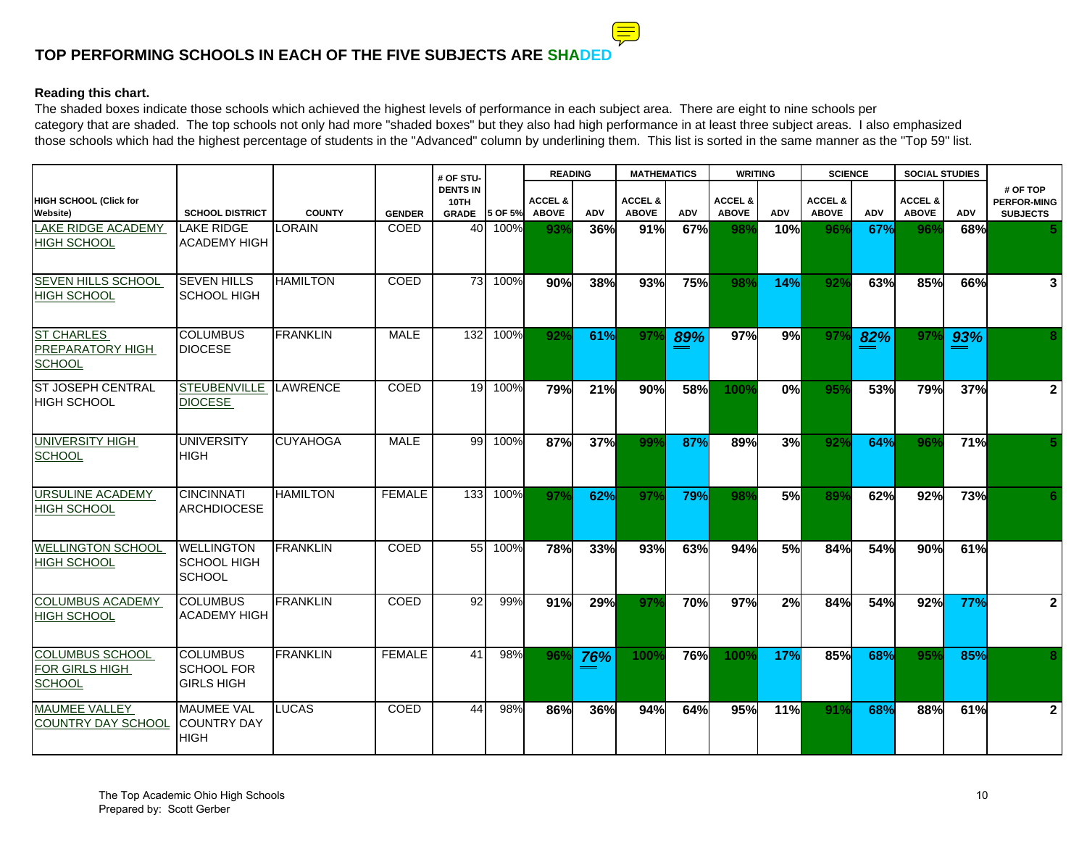# **TOP PERFORMING SCHOOLS IN EACH OF THE FIVE SUBJECTS ARE SHAD**

#### **Reading this chart.**

The shaded boxes indicate those schools which achieved the highest levels of performance in each subject area. There are eight to nine schools per category that are shaded. The top schools not only had more "shaded boxes" but they also had high performance in at least three subject areas. I also emphasized those schools which had the highest percentage of students in the "Advanced" column by underlining them. This list is sorted in the same manner as the "Top 59" list.

|                                                        |                                                           |                 |               | # OF STU-                               |         | <b>READING</b>                     |            | <b>MATHEMATICS</b>                 |            | <b>WRITING</b>                     |            | <b>SCIENCE</b>                     |            | <b>SOCIAL STUDIES</b>              |            |                                                   |
|--------------------------------------------------------|-----------------------------------------------------------|-----------------|---------------|-----------------------------------------|---------|------------------------------------|------------|------------------------------------|------------|------------------------------------|------------|------------------------------------|------------|------------------------------------|------------|---------------------------------------------------|
| HIGH SCHOOL (Click for<br><b>Website)</b>              | <b>SCHOOL DISTRICT</b>                                    | <b>COUNTY</b>   | <b>GENDER</b> | <b>DENTS IN</b><br>10TH<br><b>GRADE</b> | 5 OF 5% | <b>ACCEL &amp;</b><br><b>ABOVE</b> | <b>ADV</b> | <b>ACCEL &amp;</b><br><b>ABOVE</b> | ADV        | <b>ACCEL &amp;</b><br><b>ABOVE</b> | <b>ADV</b> | <b>ACCEL &amp;</b><br><b>ABOVE</b> | <b>ADV</b> | <b>ACCEL &amp;</b><br><b>ABOVE</b> | <b>ADV</b> | # OF TOP<br><b>PERFOR-MING</b><br><b>SUBJECTS</b> |
| <b>LAKE RIDGE ACADEMY</b><br><b>HIGH SCHOOL</b>        | <b>LAKE RIDGE</b><br><b>ACADEMY HIGH</b>                  | LORAIN          | COED          | 40                                      | 100%    | 93%                                | 36%        | 91%                                | 67%        | 98%                                | 10%        | 96%                                | 67%        | 96%                                | 68%        |                                                   |
| <b>SEVEN HILLS SCHOOL</b><br><b>HIGH SCHOOL</b>        | <b>SEVEN HILLS</b><br><b>SCHOOL HIGH</b>                  | <b>HAMILTON</b> | <b>COED</b>   | 73                                      | 100%    | 90%                                | 38%        | 93%                                | 75%        | 98%                                | 14%        | 92%                                | 63%        | 85%                                | 66%        | 3                                                 |
| <b>ST CHARLES</b><br>PREPARATORY HIGH<br><b>SCHOOL</b> | <b>COLUMBUS</b><br><b>DIOCESE</b>                         | <b>FRANKLIN</b> | <b>MALE</b>   | 132                                     | 100%    | 92%                                | 61%        | 97%                                | 89%        | 97%                                | 9%         | 97 <sup>°</sup>                    | 82%        | 97 <sup>o</sup>                    | 93%        | 8                                                 |
| <b>ST JOSEPH CENTRAL</b><br><b>HIGH SCHOOL</b>         | <b>STEUBENVILLE</b><br><b>DIOCESE</b>                     | LAWRENCE        | COED          | 19                                      | 100%    | 79%                                | 21%        | 90%                                | 58%        | 100%                               | 0%         | 95%                                | 53%        | 79%                                | 37%        | $\overline{2}$                                    |
| UNIVERSITY HIGH<br><b>SCHOOL</b>                       | <b>UNIVERSITY</b><br><b>HIGH</b>                          | <b>CUYAHOGA</b> | <b>MALE</b>   | 99                                      | 100%    | 87%                                | <b>37%</b> | 99%                                | 87%        | 89%                                | 3%         | 92%                                | 64%        | 96 <sup>°</sup>                    | 71%        | 5.                                                |
| <b>URSULINE ACADEMY</b><br><b>HIGH SCHOOL</b>          | <b>CINCINNATI</b><br><b>ARCHDIOCESE</b>                   | <b>HAMILTON</b> | <b>FEMALE</b> | 133                                     | 100%    | 97%                                | 62%        | 97%                                | 79%        | 98%                                | 5%         | 89%                                | 62%        | 92%                                | 73%        | 6                                                 |
| <b>WELLINGTON SCHOOL</b><br><b>HIGH SCHOOL</b>         | <b>WELLINGTON</b><br><b>SCHOOL HIGH</b><br><b>SCHOOL</b>  | <b>FRANKLIN</b> | <b>COED</b>   | 55                                      | 100%    | 78%                                | 33%        | 93%                                | 63%        | 94%                                | 5%         | 84%                                | 54%        | 90%                                | 61%        |                                                   |
| <b>COLUMBUS ACADEMY</b><br><b>HIGH SCHOOL</b>          | <b>COLUMBUS</b><br><b>ACADEMY HIGH</b>                    | <b>FRANKLIN</b> | <b>COED</b>   | 92                                      | 99%     | 91%                                | 29%        | 97%                                | 70%        | 97%                                | 2%         | 84%                                | 54%        | 92%                                | 77%        | $\overline{2}$                                    |
| COLUMBUS SCHOOL<br>FOR GIRLS HIGH<br><b>SCHOOL</b>     | <b>COLUMBUS</b><br><b>SCHOOL FOR</b><br><b>GIRLS HIGH</b> | <b>FRANKLIN</b> | <b>FEMALE</b> | 41                                      | 98%     | 96%                                | 76%        | 100%                               | <b>76%</b> | 100%                               | 17%        | 85%                                | 68%        | 95%                                | 85%        | 8                                                 |
| <b>MAUMEE VALLEY</b><br><b>COUNTRY DAY SCHOOL</b>      | <b>MAUMEE VAL</b><br><b>COUNTRY DAY</b><br><b>HIGH</b>    | LUCAS           | <b>COED</b>   | 44                                      | 98%     | 86%                                | 36%        | 94%                                | 64%        | 95%                                | 11%        | 91%                                | 68%        | 88%                                | 61%        | $\mathbf{2}$                                      |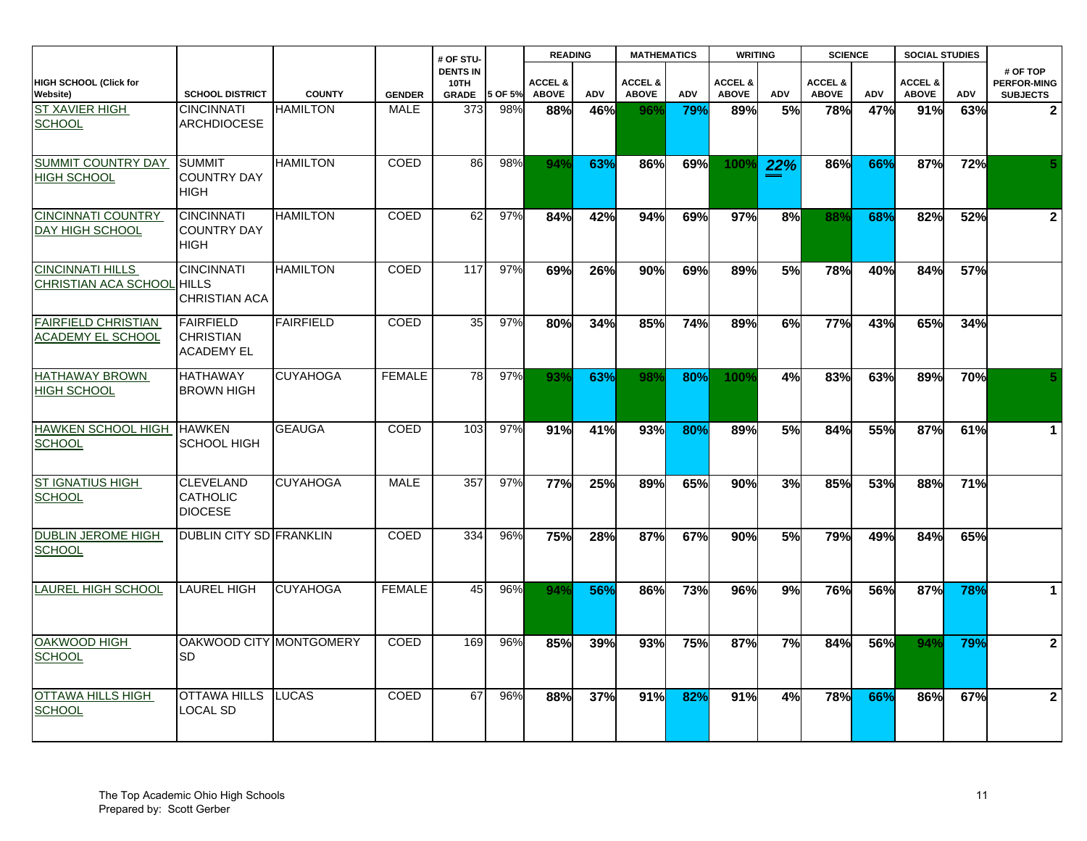|                                                        |                                                           |                  |               | # OF STU-                               |         | <b>READING</b>                     |            | <b>MATHEMATICS</b>                 |            | <b>WRITING</b>                     |                  | <b>SCIENCE</b>                     |     | <b>SOCIAL STUDIES</b>              |            |                                                   |
|--------------------------------------------------------|-----------------------------------------------------------|------------------|---------------|-----------------------------------------|---------|------------------------------------|------------|------------------------------------|------------|------------------------------------|------------------|------------------------------------|-----|------------------------------------|------------|---------------------------------------------------|
| <b>HIGH SCHOOL (Click for</b><br><b>Website)</b>       | <b>SCHOOL DISTRICT</b>                                    | <b>COUNTY</b>    | <b>GENDER</b> | <b>DENTS IN</b><br>10TH<br><b>GRADE</b> | 5 OF 5% | <b>ACCEL &amp;</b><br><b>ABOVE</b> | ADV        | <b>ACCEL &amp;</b><br><b>ABOVE</b> | <b>ADV</b> | <b>ACCEL &amp;</b><br><b>ABOVE</b> | <b>ADV</b>       | <b>ACCEL &amp;</b><br><b>ABOVE</b> | ADV | <b>ACCEL &amp;</b><br><b>ABOVE</b> | <b>ADV</b> | # OF TOP<br><b>PERFOR-MING</b><br><b>SUBJECTS</b> |
| <b>ST XAVIER HIGH</b><br><b>SCHOOL</b>                 | <b>CINCINNATI</b><br><b>ARCHDIOCESE</b>                   | <b>HAMILTON</b>  | <b>MALE</b>   | 373                                     | 98%     | 88%                                | <b>46%</b> | 96%                                | 79%        | 89%                                | 5%               | 78%                                | 47% | 91%                                | 63%        | $\overline{2}$                                    |
| <b>SUMMIT COUNTRY DAY</b><br><b>HIGH SCHOOL</b>        | <b>SUMMIT</b><br><b>COUNTRY DAY</b><br><b>HIGH</b>        | <b>HAMILTON</b>  | COED          | 86                                      | 98%     | 94%                                | 63%        | 86%                                | 69%        | <b>100%</b>                        | 22%              | 86%                                | 66% | 87%                                | 72%        | 5.                                                |
| <b>CINCINNATI COUNTRY</b><br>DAY HIGH SCHOOL           | <b>CINCINNATI</b><br><b>COUNTRY DAY</b><br><b>HIGH</b>    | <b>HAMILTON</b>  | COED          | 62                                      | 97%     | 84%                                | 42%        | 94%                                | 69%        | 97%                                | 8%               | 88%                                | 68% | 82%                                | 52%        | $\overline{\mathbf{2}}$                           |
| <b>CINCINNATI HILLS</b><br><b>CHRISTIAN ACA SCHOOL</b> | <b>CINCINNATI</b><br><b>HILLS</b><br><b>CHRISTIAN ACA</b> | <b>HAMILTON</b>  | <b>COED</b>   | 117                                     | 97%     | 69%                                | 26%        | 90%                                | 69%        | 89%                                | 5%               | 78%                                | 40% | 84%                                | 57%        |                                                   |
| <b>FAIRFIELD CHRISTIAN</b><br>ACADEMY EL SCHOOL        | <b>FAIRFIELD</b><br><b>CHRISTIAN</b><br><b>ACADEMY EL</b> | <b>FAIRFIELD</b> | COED          | 35                                      | 97%     | 80%                                | 34%        | 85%                                | 74%        | 89%                                | 6%               | 77%                                | 43% | 65%                                | 34%        |                                                   |
| <b>HATHAWAY BROWN</b><br><b>HIGH SCHOOL</b>            | <b>HATHAWAY</b><br><b>BROWN HIGH</b>                      | <b>CUYAHOGA</b>  | <b>FEMALE</b> | 78                                      | 97%     | 93%                                | 63%        | 98%                                | 80%        | 100%                               | 4%               | 83%                                | 63% | 89%                                | 70%        | 5.                                                |
| <b>HAWKEN SCHOOL HIGH</b><br><b>SCHOOL</b>             | <b>HAWKEN</b><br><b>SCHOOL HIGH</b>                       | <b>GEAUGA</b>    | COED          | 103                                     | 97%     | 91%                                | 41%        | 93%                                | 80%        | 89%                                | 5%               | 84%                                | 55% | 87%                                | 61%        | $\mathbf{1}$                                      |
| <b>ST IGNATIUS HIGH</b><br><b>SCHOOL</b>               | <b>CLEVELAND</b><br><b>CATHOLIC</b><br><b>DIOCESE</b>     | <b>CUYAHOGA</b>  | <b>MALE</b>   | 357                                     | 97%     | 77%                                | 25%        | 89%                                | 65%        | 90%                                | 3%               | 85%                                | 53% | 88%                                | 71%        |                                                   |
| <b>DUBLIN JEROME HIGH</b><br><b>SCHOOL</b>             | <b>DUBLIN CITY SD FRANKLIN</b>                            |                  | COED          | 334                                     | 96%     | 75%                                | 28%        | 87%                                | 67%        | 90%                                | 5%               | 79%                                | 49% | 84%                                | 65%        |                                                   |
| <b>LAUREL HIGH SCHOOL</b>                              | <b>LAUREL HIGH</b>                                        | <b>CUYAHOGA</b>  | <b>FEMALE</b> | 45                                      | 96%     | 94%                                | 56%        | 86%                                | 73%        | 96%                                | $\overline{9\%}$ | 76%                                | 56% | 87%                                | 78%        | $\mathbf{1}$                                      |
| OAKWOOD HIGH<br><b>SCHOOL</b>                          | OAKWOOD CITY MONTGOMERY<br><b>SD</b>                      |                  | COED          | 169                                     | 96%     | 85%                                | 39%        | 93%                                | 75%        | 87%                                | 7%               | 84%                                | 56% | 94%                                | 79%        | $\mathbf{2}$                                      |
| OTTAWA HILLS HIGH<br><b>SCHOOL</b>                     | OTTAWA HILLS<br>LOCAL SD                                  | <b>LUCAS</b>     | <b>COED</b>   | 67                                      | 96%     | 88%                                | 37%        | 91%                                | 82%        | 91%                                | 4%               | 78%                                | 66% | 86%                                | 67%        | $\mathbf{2}$                                      |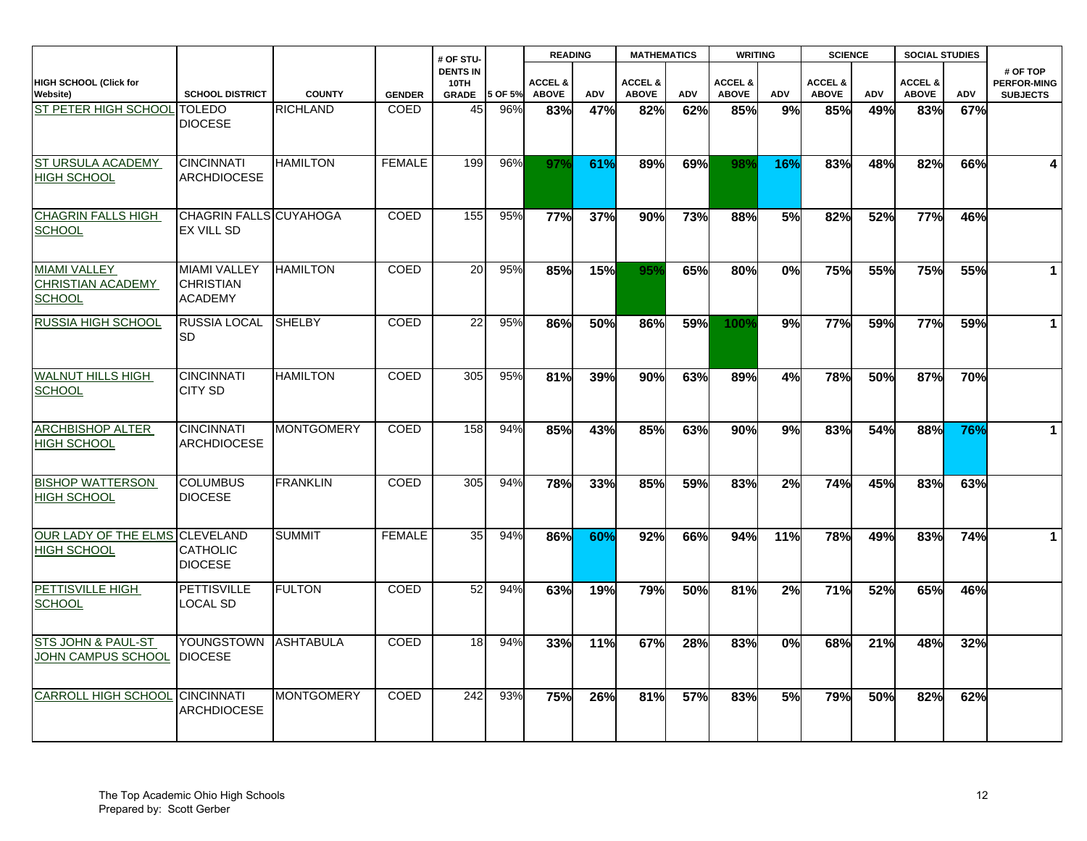|                                                                  |                                                           |                   |               | # OF STU-                               |         | <b>READING</b>                     |            |                                    | <b>MATHEMATICS</b> |                                    | <b>WRITING</b> |                                    | <b>SCIENCE</b> |                                    | <b>SOCIAL STUDIES</b> |                                                   |
|------------------------------------------------------------------|-----------------------------------------------------------|-------------------|---------------|-----------------------------------------|---------|------------------------------------|------------|------------------------------------|--------------------|------------------------------------|----------------|------------------------------------|----------------|------------------------------------|-----------------------|---------------------------------------------------|
| <b>HIGH SCHOOL (Click for</b><br><b>Website)</b>                 | <b>SCHOOL DISTRICT</b>                                    | <b>COUNTY</b>     | <b>GENDER</b> | <b>DENTS IN</b><br>10TH<br><b>GRADE</b> | 5 OF 5% | <b>ACCEL &amp;</b><br><b>ABOVE</b> | <b>ADV</b> | <b>ACCEL &amp;</b><br><b>ABOVE</b> | <b>ADV</b>         | <b>ACCEL &amp;</b><br><b>ABOVE</b> | ADV            | <b>ACCEL &amp;</b><br><b>ABOVE</b> | ADV            | <b>ACCEL &amp;</b><br><b>ABOVE</b> | <b>ADV</b>            | # OF TOP<br><b>PERFOR-MING</b><br><b>SUBJECTS</b> |
| ST PETER HIGH SCHOOL TOLEDO                                      | <b>DIOCESE</b>                                            | <b>RICHLAND</b>   | <b>COED</b>   | 45                                      | 96%     | 83%                                | 47%        | 82%                                | 62%                | 85%                                | 9%             | 85%                                | 49%            | 83%                                | 67%                   |                                                   |
| ST URSULA ACADEMY<br><b>HIGH SCHOOL</b>                          | <b>CINCINNATI</b><br><b>ARCHDIOCESE</b>                   | <b>HAMILTON</b>   | <b>FEMALE</b> | 199                                     | 96%     | 97%                                | 61%        | 89%                                | 69%                | 98%                                | 16%            | 83%                                | 48%            | 82%                                | 66%                   | $\overline{\mathbf{4}}$                           |
| <b>CHAGRIN FALLS HIGH</b><br><b>SCHOOL</b>                       | CHAGRIN FALLS CUYAHOGA<br>EX VILL SD                      |                   | COED          | 155                                     | 95%     | 77%                                | 37%        | 90%                                | 73%                | 88%                                | 5%             | 82%                                | 52%            | 77%                                | 46%                   |                                                   |
| <b>MIAMI VALLEY</b><br><b>CHRISTIAN ACADEMY</b><br><b>SCHOOL</b> | <b>MIAMI VALLEY</b><br><b>CHRISTIAN</b><br><b>ACADEMY</b> | <b>HAMILTON</b>   | <b>COED</b>   | 20                                      | 95%     | 85%                                | 15%        | 95%                                | 65%                | 80%                                | 0%             | 75%                                | 55%            | 75%                                | 55%                   | $\overline{1}$                                    |
| RUSSIA HIGH SCHOOL                                               | <b>RUSSIA LOCAL</b><br>SD                                 | <b>SHELBY</b>     | COED          | 22                                      | 95%     | 86%                                | 50%        | 86%                                | 59%                | 100%                               | 9%             | 77%                                | 59%            | 77%                                | 59%                   | $\mathbf{1}$                                      |
| <b>WALNUT HILLS HIGH</b><br><b>SCHOOL</b>                        | <b>CINCINNATI</b><br><b>CITY SD</b>                       | <b>HAMILTON</b>   | COED          | 305                                     | 95%     | 81%                                | 39%        | 90%                                | 63%                | 89%                                | 4%             | 78%                                | 50%            | 87%                                | 70%                   |                                                   |
| <b>ARCHBISHOP ALTER</b><br><b>HIGH SCHOOL</b>                    | <b>CINCINNATI</b><br><b>ARCHDIOCESE</b>                   | <b>MONTGOMERY</b> | COED          | 158                                     | 94%     | 85%                                | 43%        | 85%                                | 63%                | 90%                                | 9%             | 83%                                | 54%            | 88%                                | 76%                   | $\mathbf{1}$                                      |
| <b>BISHOP WATTERSON</b><br><b>HIGH SCHOOL</b>                    | <b>COLUMBUS</b><br><b>DIOCESE</b>                         | <b>FRANKLIN</b>   | <b>COED</b>   | 305                                     | 94%     | 78%                                | 33%        | 85%                                | 59%                | 83%                                | 2%             | 74%                                | 45%            | 83%                                | 63%                   |                                                   |
| OUR LADY OF THE ELMS CLEVELAND<br><b>HIGH SCHOOL</b>             | <b>CATHOLIC</b><br><b>DIOCESE</b>                         | <b>SUMMIT</b>     | <b>FEMALE</b> | 35                                      | 94%     | 86%                                | 60%        | 92%                                | 66%                | 94%                                | 11%            | 78%                                | 49%            | 83%                                | 74%                   | $\mathbf{1}$                                      |
| PETTISVILLE HIGH<br><b>SCHOOL</b>                                | <b>PETTISVILLE</b><br><b>LOCAL SD</b>                     | <b>FULTON</b>     | COED          | 52                                      | 94%     | 63%                                | 19%        | 79%                                | 50%                | 81%                                | 2%             | 71%                                | 52%            | 65%                                | 46%                   |                                                   |
| STS JOHN & PAUL-ST<br>JOHN CAMPUS SCHOOL                         | <b>YOUNGSTOWN</b><br><b>DIOCESE</b>                       | <b>ASHTABULA</b>  | COED          | 18                                      | 94%     | 33%                                | 11%        | 67%                                | 28%                | 83%                                | 0%             | 68%                                | 21%            | 48%                                | 32%                   |                                                   |
| CARROLL HIGH SCHOOL CINCINNATI                                   | <b>ARCHDIOCESE</b>                                        | <b>MONTGOMERY</b> | <b>COED</b>   | 242                                     | 93%     | 75%                                | 26%        | 81%                                | 57%                | 83%                                | 5%             | 79%                                | 50%            | 82%                                | 62%                   |                                                   |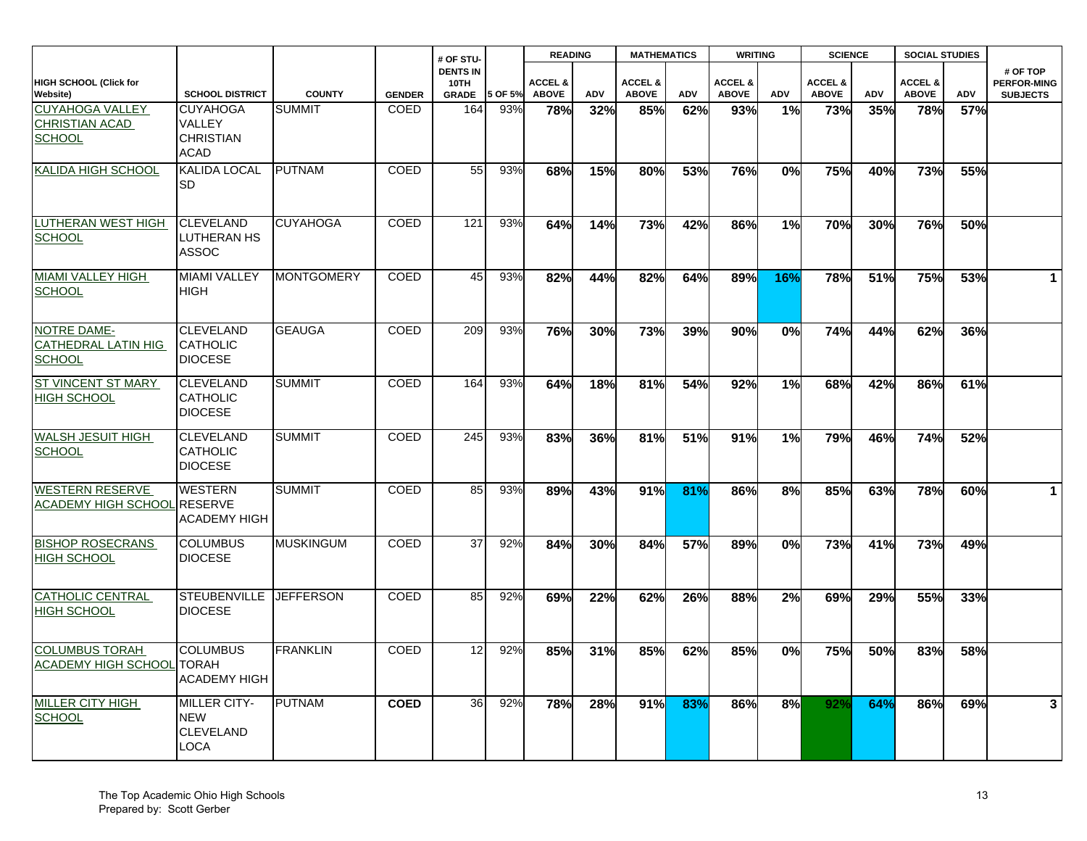|                                                                  |                                                              |                   |               | # OF STU-                               |         | <b>READING</b>                     |     | <b>MATHEMATICS</b>                 |     | <b>WRITING</b>                     |     |                                    | <b>SCIENCE</b><br><b>SOCIAL STUDIES</b> |                                    |     |                                                   |
|------------------------------------------------------------------|--------------------------------------------------------------|-------------------|---------------|-----------------------------------------|---------|------------------------------------|-----|------------------------------------|-----|------------------------------------|-----|------------------------------------|-----------------------------------------|------------------------------------|-----|---------------------------------------------------|
| HIGH SCHOOL (Click for<br>Website)                               | <b>SCHOOL DISTRICT</b>                                       | <b>COUNTY</b>     | <b>GENDER</b> | <b>DENTS IN</b><br>10TH<br><b>GRADE</b> | 5 OF 5% | <b>ACCEL &amp;</b><br><b>ABOVE</b> | ADV | <b>ACCEL &amp;</b><br><b>ABOVE</b> | ADV | <b>ACCEL &amp;</b><br><b>ABOVE</b> | ADV | <b>ACCEL &amp;</b><br><b>ABOVE</b> | ADV                                     | <b>ACCEL &amp;</b><br><b>ABOVE</b> | ADV | # OF TOP<br><b>PERFOR-MING</b><br><b>SUBJECTS</b> |
| <b>CUYAHOGA VALLEY</b><br><b>CHRISTIAN ACAD</b><br><b>SCHOOL</b> | <b>CUYAHOGA</b><br>VALLEY<br><b>CHRISTIAN</b><br><b>ACAD</b> | <b>SUMMIT</b>     | COED          | 164                                     | 93%     | 78%                                | 32% | 85%                                | 62% | 93%                                | 1%  | 73%                                | 35%                                     | 78%                                | 57% |                                                   |
| KALIDA HIGH SCHOOL                                               | KALIDA LOCAL<br>SD                                           | <b>PUTNAM</b>     | COED          | 55                                      | 93%     | 68%                                | 15% | 80%                                | 53% | 76%                                | 0%  | 75%                                | 40%                                     | 73%                                | 55% |                                                   |
| <b>LUTHERAN WEST HIGH</b><br><b>SCHOOL</b>                       | <b>CLEVELAND</b><br>LUTHERAN HS<br><b>ASSOC</b>              | <b>CUYAHOGA</b>   | <b>COED</b>   | 121                                     | 93%     | 64%                                | 14% | 73%                                | 42% | 86%                                | 1%  | 70%                                | 30%                                     | 76%                                | 50% |                                                   |
| <b>MIAMI VALLEY HIGH</b><br><b>SCHOOL</b>                        | <b>MIAMI VALLEY</b><br><b>HIGH</b>                           | <b>MONTGOMERY</b> | <b>COED</b>   | 45                                      | 93%     | 82%                                | 44% | 82%                                | 64% | 89%                                | 16% | 78%                                | 51%                                     | 75%                                | 53% | $\mathbf 1$                                       |
| NOTRE DAME-<br>CATHEDRAL LATIN HIG<br><b>SCHOOL</b>              | <b>CLEVELAND</b><br><b>CATHOLIC</b><br><b>DIOCESE</b>        | <b>GEAUGA</b>     | <b>COED</b>   | 209                                     | 93%     | 76%                                | 30% | 73%                                | 39% | 90%                                | 0%  | 74%                                | 44%                                     | 62%                                | 36% |                                                   |
| <b>ST VINCENT ST MARY</b><br><b>HIGH SCHOOL</b>                  | <b>CLEVELAND</b><br><b>CATHOLIC</b><br><b>DIOCESE</b>        | <b>SUMMIT</b>     | COED          | 164                                     | 93%     | 64%                                | 18% | 81%                                | 54% | 92%                                | 1%  | 68%                                | 42%                                     | 86%                                | 61% |                                                   |
| WALSH JESUIT HIGH<br><b>SCHOOL</b>                               | <b>CLEVELAND</b><br>CATHOLIC<br><b>DIOCESE</b>               | <b>SUMMIT</b>     | <b>COED</b>   | 245                                     | 93%     | 83%                                | 36% | 81%                                | 51% | 91%                                | 1%  | 79%                                | 46%                                     | 74%                                | 52% |                                                   |
| <b>WESTERN RESERVE</b><br>ACADEMY HIGH SCHOOL RESERVE            | <b>WESTERN</b><br><b>ACADEMY HIGH</b>                        | <b>SUMMIT</b>     | COED          | 85                                      | 93%     | 89%                                | 43% | 91%                                | 81% | 86%                                | 8%  | 85%                                | 63%                                     | 78%                                | 60% | $\mathbf 1$                                       |
| <b>BISHOP ROSECRANS</b><br><b>HIGH SCHOOL</b>                    | <b>COLUMBUS</b><br><b>DIOCESE</b>                            | MUSKINGUM         | COED          | 37                                      | 92%     | 84%                                | 30% | 84%                                | 57% | 89%                                | 0%  | 73%                                | 41%                                     | 73%                                | 49% |                                                   |
| <b>CATHOLIC CENTRAL</b><br>HIGH SCHOOL                           | <b>STEUBENVILLE</b><br><b>DIOCESE</b>                        | <b>JEFFERSON</b>  | <b>COED</b>   | 85                                      | 92%     | 69%                                | 22% | 62%                                | 26% | 88%                                | 2%  | 69%                                | 29%                                     | 55%                                | 33% |                                                   |
| <b>COLUMBUS TORAH</b><br><b>ACADEMY HIGH SCHOOL</b>              | <b>COLUMBUS</b><br><b>TORAH</b><br><b>ACADEMY HIGH</b>       | <b>FRANKLIN</b>   | COED          | 12                                      | 92%     | 85%                                | 31% | 85%                                | 62% | 85%                                | 0%  | 75%                                | 50%                                     | 83%                                | 58% |                                                   |
| MILLER CITY HIGH<br><b>SCHOOL</b>                                | <b>MILLER CITY-</b><br><b>NEW</b><br>CLEVELAND<br>LOCA       | <b>PUTNAM</b>     | <b>COED</b>   | 36                                      | 92%     | 78%                                | 28% | 91%                                | 83% | 86%                                | 8%  | 92%                                | 64%                                     | 86%                                | 69% | 3 <sup>1</sup>                                    |